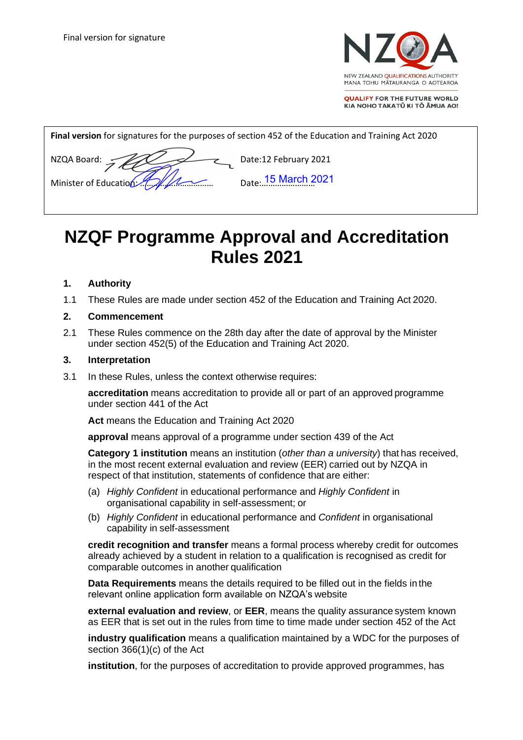

**QUALIFY FOR THE FUTURE WORLD** KIA NOHO TAKATŪ KI TŌ ĀMUA AO!

| Final version for signatures for the purposes of section 452 of the Education and Training Act 2020 |  |  |  |  |  |  |
|-----------------------------------------------------------------------------------------------------|--|--|--|--|--|--|
| Date:12 February 2021<br>NZQA Board: 5<br><sub>Date</sub> . 15 March 2021                           |  |  |  |  |  |  |

# **NZQF Programme Approval and Accreditation Rules 2021**

### **1. Authority**

1.1 These Rules are made under section 452 of the Education and Training Act 2020.

#### **2. Commencement**

2.1 These Rules commence on the 28th day after the date of approval by the Minister under section 452(5) of the Education and Training Act 2020.

#### **3. Interpretation**

3.1 In these Rules, unless the context otherwise requires:

**accreditation** means accreditation to provide all or part of an approved programme under section 441 of the Act

**Act** means the Education and Training Act 2020

**approval** means approval of a programme under section 439 of the Act

**Category 1 institution** means an institution (*other than a university*) that has received, in the most recent external evaluation and review (EER) carried out by NZQA in respect of that institution, statements of confidence that are either:

- (a) *Highly Confident* in educational performance and *Highly Confident* in organisational capability in self-assessment; or
- (b) *Highly Confident* in educational performance and *Confident* in organisational capability in self-assessment

**credit recognition and transfer** means a formal process whereby credit for outcomes already achieved by a student in relation to a qualification is recognised as credit for comparable outcomes in another qualification

**Data Requirements** means the details required to be filled out in the fields in the relevant online application form available on NZQA's website

**external evaluation and review**, or **EER**, means the quality assurance system known as EER that is set out in the rules from time to time made under section 452 of the Act

**industry qualification** means a qualification maintained by a WDC for the purposes of section 366(1)(c) of the Act

**institution**, for the purposes of accreditation to provide approved programmes, has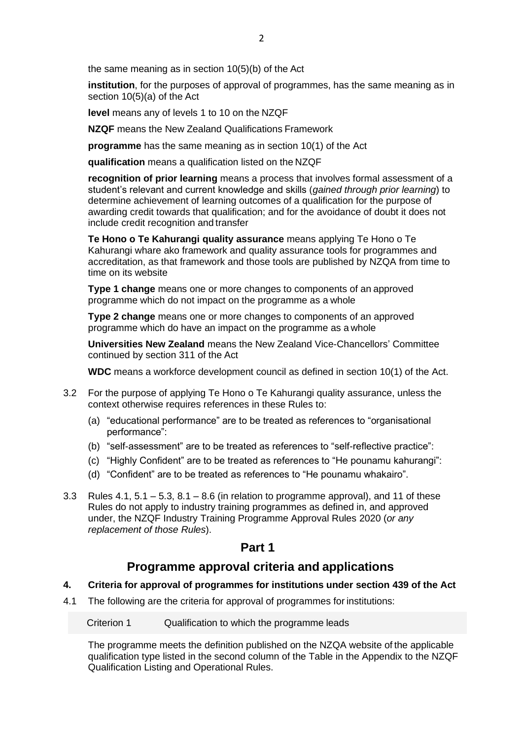the same meaning as in section 10(5)(b) of the Act

**institution**, for the purposes of approval of programmes, has the same meaning as in section 10(5)(a) of the Act

**level** means any of levels 1 to 10 on the NZQF

**NZQF** means the New Zealand Qualifications Framework

**programme** has the same meaning as in section 10(1) of the Act

**qualification** means a qualification listed on the NZQF

**recognition of prior learning** means a process that involves formal assessment of a student's relevant and current knowledge and skills (*gained through prior learning*) to determine achievement of learning outcomes of a qualification for the purpose of awarding credit towards that qualification; and for the avoidance of doubt it does not include credit recognition and transfer

**Te Hono o Te Kahurangi quality assurance** means applying Te Hono o Te Kahurangi whare ako framework and quality assurance tools for programmes and accreditation, as that framework and those tools are published by NZQA from time to time on its website

**Type 1 change** means one or more changes to components of an approved programme which do not impact on the programme as a whole

**Type 2 change** means one or more changes to components of an approved programme which do have an impact on the programme as a whole

**Universities New Zealand** means the New Zealand Vice-Chancellors' Committee continued by section 311 of the Act

**WDC** means a workforce development council as defined in section 10(1) of the Act.

- 3.2 For the purpose of applying Te Hono o Te Kahurangi quality assurance, unless the context otherwise requires references in these Rules to:
	- (a) "educational performance" are to be treated as references to "organisational performance":
	- (b) "self-assessment" are to be treated as references to "self-reflective practice":
	- (c) "Highly Confident" are to be treated as references to "He pounamu kahurangi":
	- (d) "Confident" are to be treated as references to "He pounamu whakairo".
- 3.3 Rules  $4.1, 5.1 5.3, 8.1 8.6$  (in relation to programme approval), and 11 of these Rules do not apply to industry training programmes as defined in, and approved under, the NZQF Industry Training Programme Approval Rules 2020 (*or any replacement of those Rules*).

### **Part 1**

### **Programme approval criteria and applications**

#### **4. Criteria for approval of programmes for institutions under section 439 of the Act**

4.1 The following are the criteria for approval of programmes for institutions:

Criterion 1 Qualification to which the programme leads

The programme meets the definition published on the NZQA website of the applicable qualification type listed in the second column of the Table in the Appendix to the NZQF Qualification Listing and Operational Rules.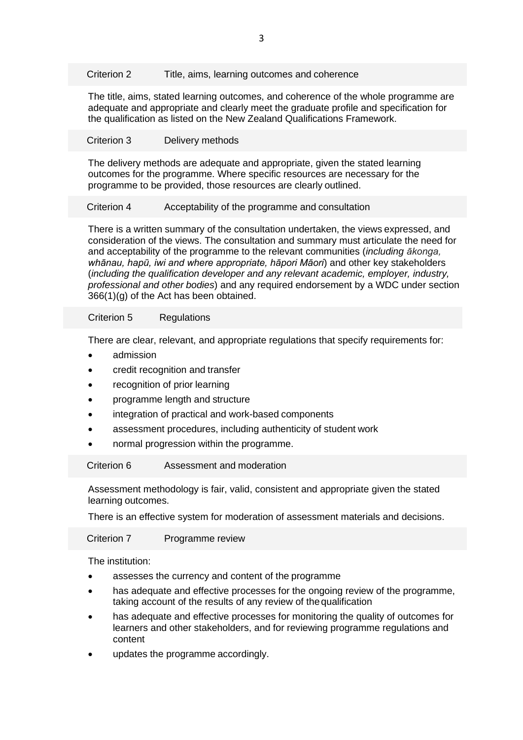Criterion 2 Title, aims, learning outcomes and coherence

The title, aims, stated learning outcomes, and coherence of the whole programme are adequate and appropriate and clearly meet the graduate profile and specification for the qualification as listed on the New Zealand Qualifications Framework.

#### Criterion 3 Delivery methods

The delivery methods are adequate and appropriate, given the stated learning outcomes for the programme. Where specific resources are necessary for the programme to be provided, those resources are clearly outlined.

#### Criterion 4 Acceptability of the programme and consultation

There is a written summary of the consultation undertaken, the views expressed, and consideration of the views. The consultation and summary must articulate the need for and acceptability of the programme to the relevant communities (*including ākonga, whānau, hapū, iwi and where appropriate, hāpori Māori*) and other key stakeholders (*including the qualification developer and any relevant academic, employer, industry, professional and other bodies*) and any required endorsement by a WDC under section 366(1)(g) of the Act has been obtained.

#### Criterion 5 Regulations

There are clear, relevant, and appropriate regulations that specify requirements for:

- admission
- credit recognition and transfer
- recognition of prior learning
- programme length and structure
- integration of practical and work-based components
- assessment procedures, including authenticity of student work
- normal progression within the programme.

#### Criterion 6 Assessment and moderation

Assessment methodology is fair, valid, consistent and appropriate given the stated learning outcomes.

There is an effective system for moderation of assessment materials and decisions.

Criterion 7 Programme review

The institution:

- assesses the currency and content of the programme
- has adequate and effective processes for the ongoing review of the programme, taking account of the results of any review of the qualification
- has adequate and effective processes for monitoring the quality of outcomes for learners and other stakeholders, and for reviewing programme regulations and content
- updates the programme accordingly.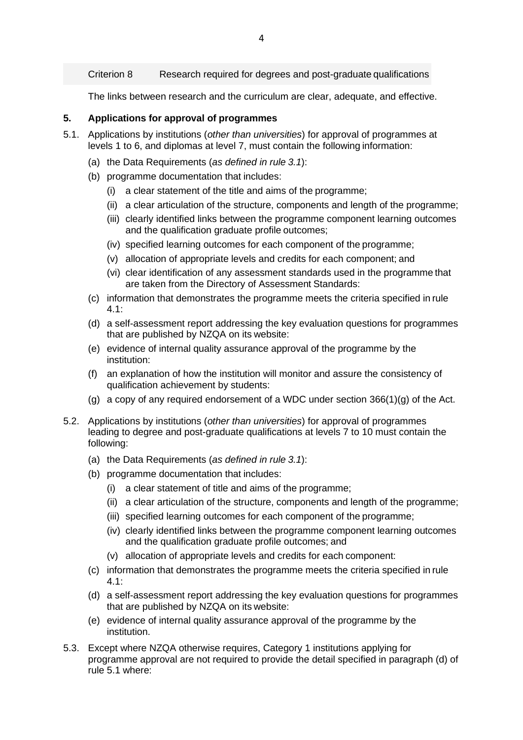Criterion 8 Research required for degrees and post-graduate qualifications

The links between research and the curriculum are clear, adequate, and effective.

#### **5. Applications for approval of programmes**

- 5.1. Applications by institutions (*other than universities*) for approval of programmes at levels 1 to 6, and diplomas at level 7, must contain the following information:
	- (a) the Data Requirements (*as defined in rule 3.1*):
	- (b) programme documentation that includes:
		- (i) a clear statement of the title and aims of the programme;
		- (ii) a clear articulation of the structure, components and length of the programme;
		- (iii) clearly identified links between the programme component learning outcomes and the qualification graduate profile outcomes;
		- (iv) specified learning outcomes for each component of the programme;
		- (v) allocation of appropriate levels and credits for each component; and
		- (vi) clear identification of any assessment standards used in the programme that are taken from the Directory of Assessment Standards:
	- (c) information that demonstrates the programme meets the criteria specified in rule 4.1:
	- (d) a self-assessment report addressing the key evaluation questions for programmes that are published by NZQA on its website:
	- (e) evidence of internal quality assurance approval of the programme by the institution:
	- (f) an explanation of how the institution will monitor and assure the consistency of qualification achievement by students:
	- (g) a copy of any required endorsement of a WDC under section 366(1)(g) of the Act.
- 5.2. Applications by institutions (*other than universities*) for approval of programmes leading to degree and post-graduate qualifications at levels 7 to 10 must contain the following:
	- (a) the Data Requirements (*as defined in rule 3.1*):
	- (b) programme documentation that includes:
		- (i) a clear statement of title and aims of the programme;
		- (ii) a clear articulation of the structure, components and length of the programme;
		- (iii) specified learning outcomes for each component of the programme;
		- (iv) clearly identified links between the programme component learning outcomes and the qualification graduate profile outcomes; and
		- (v) allocation of appropriate levels and credits for each component:
	- (c) information that demonstrates the programme meets the criteria specified in rule 4.1:
	- (d) a self-assessment report addressing the key evaluation questions for programmes that are published by NZQA on its website:
	- (e) evidence of internal quality assurance approval of the programme by the institution.
- 5.3. Except where NZQA otherwise requires, Category 1 institutions applying for programme approval are not required to provide the detail specified in paragraph (d) of rule 5.1 where: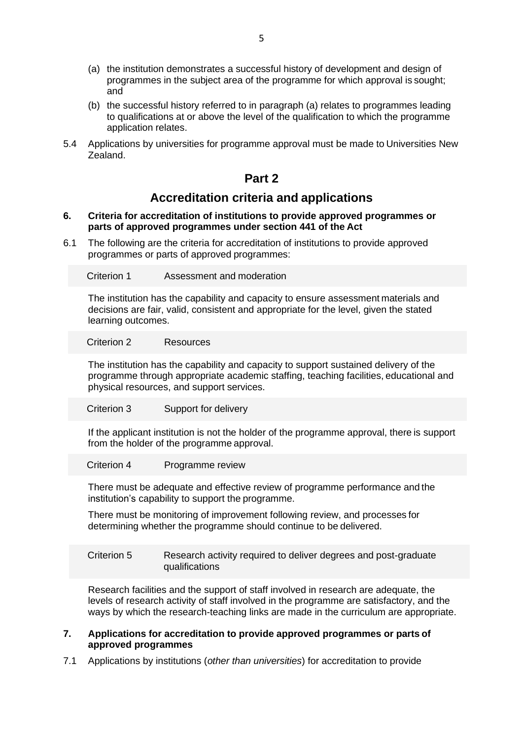- (a) the institution demonstrates a successful history of development and design of programmes in the subject area of the programme for which approval is sought; and
- (b) the successful history referred to in paragraph (a) relates to programmes leading to qualifications at or above the level of the qualification to which the programme application relates.
- 5.4 Applications by universities for programme approval must be made to Universities New Zealand.

### **Part 2**

### **Accreditation criteria and applications**

#### **6. Criteria for accreditation of institutions to provide approved programmes or parts of approved programmes under section 441 of the Act**

6.1 The following are the criteria for accreditation of institutions to provide approved programmes or parts of approved programmes:

Criterion 1 Assessment and moderation

The institution has the capability and capacity to ensure assessment materials and decisions are fair, valid, consistent and appropriate for the level, given the stated learning outcomes.

Criterion 2 Resources

The institution has the capability and capacity to support sustained delivery of the programme through appropriate academic staffing, teaching facilities, educational and physical resources, and support services.

Criterion 3 Support for delivery

If the applicant institution is not the holder of the programme approval, there is support from the holder of the programme approval.

Criterion 4 Programme review

There must be adequate and effective review of programme performance and the institution's capability to support the programme.

There must be monitoring of improvement following review, and processes for determining whether the programme should continue to be delivered.

Criterion 5 Research activity required to deliver degrees and post-graduate qualifications

Research facilities and the support of staff involved in research are adequate, the levels of research activity of staff involved in the programme are satisfactory, and the ways by which the research-teaching links are made in the curriculum are appropriate.

#### **7. Applications for accreditation to provide approved programmes or parts of approved programmes**

7.1 Applications by institutions (*other than universities*) for accreditation to provide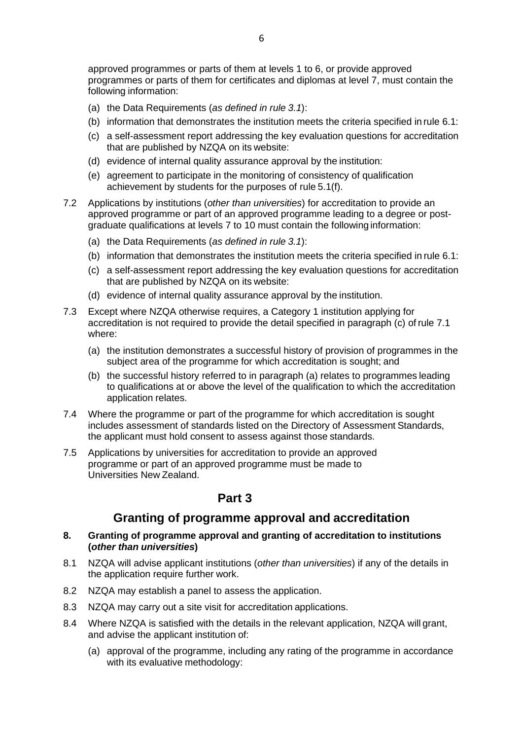approved programmes or parts of them at levels 1 to 6, or provide approved programmes or parts of them for certificates and diplomas at level 7, must contain the following information:

- (a) the Data Requirements (*as defined in rule 3.1*):
- (b) information that demonstrates the institution meets the criteria specified in rule 6.1:
- (c) a self-assessment report addressing the key evaluation questions for accreditation that are published by NZQA on its website:
- (d) evidence of internal quality assurance approval by the institution:
- (e) agreement to participate in the monitoring of consistency of qualification achievement by students for the purposes of rule 5.1(f).
- 7.2 Applications by institutions (*other than universities*) for accreditation to provide an approved programme or part of an approved programme leading to a degree or postgraduate qualifications at levels 7 to 10 must contain the following information:
	- (a) the Data Requirements (*as defined in rule 3.1*):
	- (b) information that demonstrates the institution meets the criteria specified in rule 6.1:
	- (c) a self-assessment report addressing the key evaluation questions for accreditation that are published by NZQA on its website:
	- (d) evidence of internal quality assurance approval by the institution.
- 7.3 Except where NZQA otherwise requires, a Category 1 institution applying for accreditation is not required to provide the detail specified in paragraph (c) of rule 7.1 where:
	- (a) the institution demonstrates a successful history of provision of programmes in the subject area of the programme for which accreditation is sought; and
	- (b) the successful history referred to in paragraph (a) relates to programmes leading to qualifications at or above the level of the qualification to which the accreditation application relates.
- 7.4 Where the programme or part of the programme for which accreditation is sought includes assessment of standards listed on the Directory of Assessment Standards, the applicant must hold consent to assess against those standards.
- 7.5 Applications by universities for accreditation to provide an approved programme or part of an approved programme must be made to Universities New Zealand.

### **Part 3**

### **Granting of programme approval and accreditation**

#### **8. Granting of programme approval and granting of accreditation to institutions (***other than universities***)**

- 8.1 NZQA will advise applicant institutions (*other than universities*) if any of the details in the application require further work.
- 8.2 NZQA may establish a panel to assess the application.
- 8.3 NZQA may carry out a site visit for accreditation applications.
- 8.4 Where NZQA is satisfied with the details in the relevant application, NZQA will grant, and advise the applicant institution of:
	- (a) approval of the programme, including any rating of the programme in accordance with its evaluative methodology: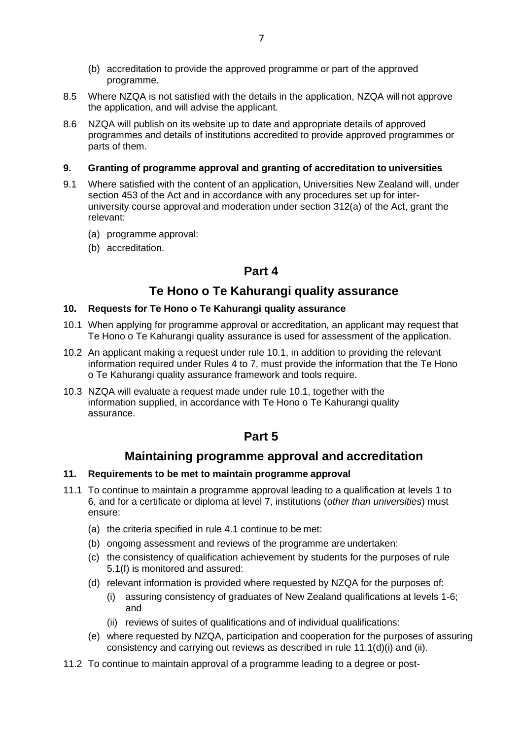- (b) accreditation to provide the approved programme or part of the approved programme.
- 8.5 Where NZQA is not satisfied with the details in the application, NZQA will not approve the application, and will advise the applicant.
- 8.6 NZQA will publish on its website up to date and appropriate details of approved programmes and details of institutions accredited to provide approved programmes or parts of them.

#### **9. Granting of programme approval and granting of accreditation to universities**

- 9.1 Where satisfied with the content of an application, Universities New Zealand will, under section 453 of the Act and in accordance with any procedures set up for interuniversity course approval and moderation under section 312(a) of the Act, grant the relevant:
	- (a) programme approval:
	- (b) accreditation.

### **Part 4**

### **Te Hono o Te Kahurangi quality assurance**

#### **10. Requests for Te Hono o Te Kahurangi quality assurance**

- 10.1 When applying for programme approval or accreditation, an applicant may request that Te Hono o Te Kahurangi quality assurance is used for assessment of the application.
- 10.2 An applicant making a request under rule 10.1, in addition to providing the relevant information required under Rules 4 to 7, must provide the information that the Te Hono o Te Kahurangi quality assurance framework and tools require.
- 10.3 NZQA will evaluate a request made under rule 10.1, together with the information supplied, in accordance with Te Hono o Te Kahurangi quality assurance.

### **Part 5**

### **Maintaining programme approval and accreditation**

#### **11. Requirements to be met to maintain programme approval**

- 11.1 To continue to maintain a programme approval leading to a qualification at levels 1 to 6, and for a certificate or diploma at level 7, institutions (*other than universities*) must ensure:
	- (a) the criteria specified in rule 4.1 continue to be met:
	- (b) ongoing assessment and reviews of the programme are undertaken:
	- (c) the consistency of qualification achievement by students for the purposes of rule 5.1(f) is monitored and assured:
	- (d) relevant information is provided where requested by NZQA for the purposes of:
		- (i) assuring consistency of graduates of New Zealand qualifications at levels 1-6; and
		- (ii) reviews of suites of qualifications and of individual qualifications:
	- (e) where requested by NZQA, participation and cooperation for the purposes of assuring consistency and carrying out reviews as described in rule 11.1(d)(i) and (ii).
- 11.2 To continue to maintain approval of a programme leading to a degree or post-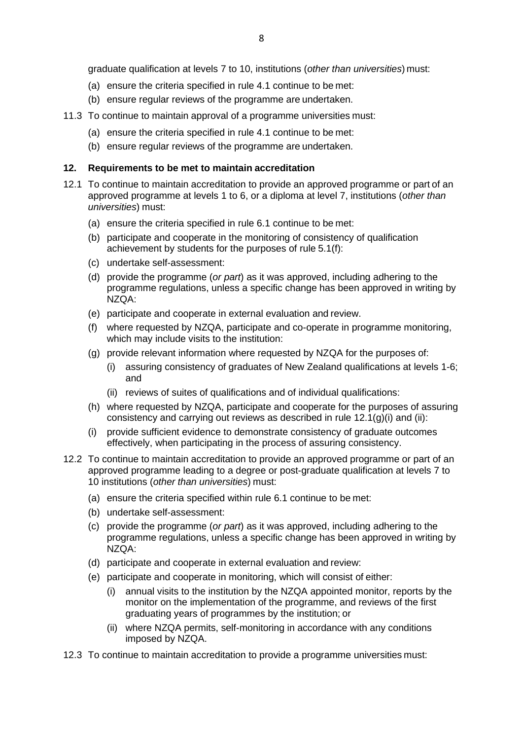graduate qualification at levels 7 to 10, institutions (*other than universities*) must:

- (a) ensure the criteria specified in rule 4.1 continue to be met:
- (b) ensure regular reviews of the programme are undertaken.
- 11.3 To continue to maintain approval of a programme universities must:
	- (a) ensure the criteria specified in rule 4.1 continue to be met:
	- (b) ensure regular reviews of the programme are undertaken.

#### **12. Requirements to be met to maintain accreditation**

- 12.1 To continue to maintain accreditation to provide an approved programme or part of an approved programme at levels 1 to 6, or a diploma at level 7, institutions (*other than universities*) must:
	- (a) ensure the criteria specified in rule 6.1 continue to be met:
	- (b) participate and cooperate in the monitoring of consistency of qualification achievement by students for the purposes of rule 5.1(f):
	- (c) undertake self-assessment:
	- (d) provide the programme (*or part*) as it was approved, including adhering to the programme regulations, unless a specific change has been approved in writing by NZQA:
	- (e) participate and cooperate in external evaluation and review.
	- (f) where requested by NZQA, participate and co-operate in programme monitoring, which may include visits to the institution:
	- (g) provide relevant information where requested by NZQA for the purposes of:
		- (i) assuring consistency of graduates of New Zealand qualifications at levels 1-6; and
		- (ii) reviews of suites of qualifications and of individual qualifications:
	- (h) where requested by NZQA, participate and cooperate for the purposes of assuring consistency and carrying out reviews as described in rule 12.1(g)(i) and (ii):
	- (i) provide sufficient evidence to demonstrate consistency of graduate outcomes effectively, when participating in the process of assuring consistency.
- 12.2 To continue to maintain accreditation to provide an approved programme or part of an approved programme leading to a degree or post-graduate qualification at levels 7 to 10 institutions (*other than universities*) must:
	- (a) ensure the criteria specified within rule 6.1 continue to be met:
	- (b) undertake self-assessment:
	- (c) provide the programme (*or part*) as it was approved, including adhering to the programme regulations, unless a specific change has been approved in writing by NZQA:
	- (d) participate and cooperate in external evaluation and review:
	- (e) participate and cooperate in monitoring, which will consist of either:
		- (i) annual visits to the institution by the NZQA appointed monitor, reports by the monitor on the implementation of the programme, and reviews of the first graduating years of programmes by the institution; or
		- (ii) where NZQA permits, self-monitoring in accordance with any conditions imposed by NZQA.
- 12.3 To continue to maintain accreditation to provide a programme universities must: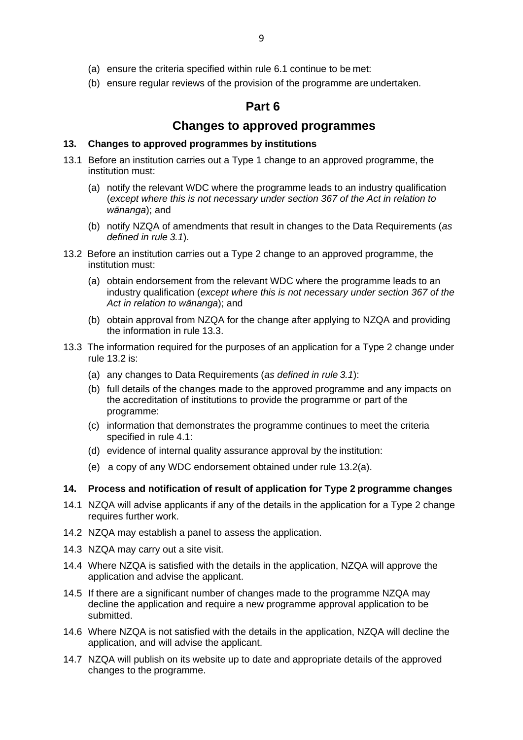- (a) ensure the criteria specified within rule 6.1 continue to be met:
- (b) ensure regular reviews of the provision of the programme are undertaken.

### **Part 6**

### **Changes to approved programmes**

#### **13. Changes to approved programmes by institutions**

- 13.1 Before an institution carries out a Type 1 change to an approved programme, the institution must:
	- (a) notify the relevant WDC where the programme leads to an industry qualification (*except where this is not necessary under section 367 of the Act in relation to wānanga*); and
	- (b) notify NZQA of amendments that result in changes to the Data Requirements (*as defined in rule 3.1*).
- 13.2 Before an institution carries out a Type 2 change to an approved programme, the institution must:
	- (a) obtain endorsement from the relevant WDC where the programme leads to an industry qualification (*except where this is not necessary under section 367 of the Act in relation to wānanga*); and
	- (b) obtain approval from NZQA for the change after applying to NZQA and providing the information in rule 13.3.
- 13.3 The information required for the purposes of an application for a Type 2 change under rule 13.2 is:
	- (a) any changes to Data Requirements (*as defined in rule 3.1*):
	- (b) full details of the changes made to the approved programme and any impacts on the accreditation of institutions to provide the programme or part of the programme:
	- (c) information that demonstrates the programme continues to meet the criteria specified in rule 4.1:
	- (d) evidence of internal quality assurance approval by the institution:
	- (e) a copy of any WDC endorsement obtained under rule 13.2(a).

#### **14. Process and notification of result of application for Type 2 programme changes**

- 14.1 NZQA will advise applicants if any of the details in the application for a Type 2 change requires further work.
- 14.2 NZQA may establish a panel to assess the application.
- 14.3 NZQA may carry out a site visit.
- 14.4 Where NZQA is satisfied with the details in the application, NZQA will approve the application and advise the applicant.
- 14.5 If there are a significant number of changes made to the programme NZQA may decline the application and require a new programme approval application to be submitted.
- 14.6 Where NZQA is not satisfied with the details in the application, NZQA will decline the application, and will advise the applicant.
- 14.7 NZQA will publish on its website up to date and appropriate details of the approved changes to the programme.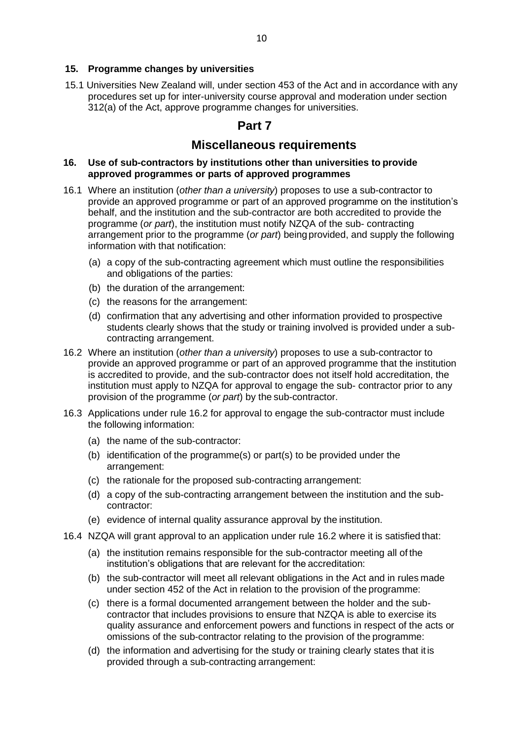#### **15. Programme changes by universities**

15.1 Universities New Zealand will, under section 453 of the Act and in accordance with any procedures set up for inter-university course approval and moderation under section 312(a) of the Act, approve programme changes for universities.

### **Part 7**

### **Miscellaneous requirements**

#### **16. Use of sub-contractors by institutions other than universities to provide approved programmes or parts of approved programmes**

- 16.1 Where an institution (*other than a university*) proposes to use a sub-contractor to provide an approved programme or part of an approved programme on the institution's behalf, and the institution and the sub-contractor are both accredited to provide the programme (*or part*), the institution must notify NZQA of the sub- contracting arrangement prior to the programme (*or part*) being provided, and supply the following information with that notification:
	- (a) a copy of the sub-contracting agreement which must outline the responsibilities and obligations of the parties:
	- (b) the duration of the arrangement:
	- (c) the reasons for the arrangement:
	- (d) confirmation that any advertising and other information provided to prospective students clearly shows that the study or training involved is provided under a subcontracting arrangement.
- 16.2 Where an institution (*other than a university*) proposes to use a sub-contractor to provide an approved programme or part of an approved programme that the institution is accredited to provide, and the sub-contractor does not itself hold accreditation, the institution must apply to NZQA for approval to engage the sub- contractor prior to any provision of the programme (*or part*) by the sub-contractor.
- 16.3 Applications under rule 16.2 for approval to engage the sub-contractor must include the following information:
	- (a) the name of the sub-contractor:
	- (b) identification of the programme(s) or part(s) to be provided under the arrangement:
	- (c) the rationale for the proposed sub-contracting arrangement:
	- (d) a copy of the sub-contracting arrangement between the institution and the subcontractor:
	- (e) evidence of internal quality assurance approval by the institution.
- 16.4 NZQA will grant approval to an application under rule 16.2 where it is satisfied that:
	- (a) the institution remains responsible for the sub-contractor meeting all of the institution's obligations that are relevant for the accreditation:
	- (b) the sub-contractor will meet all relevant obligations in the Act and in rules made under section 452 of the Act in relation to the provision of the programme:
	- (c) there is a formal documented arrangement between the holder and the subcontractor that includes provisions to ensure that NZQA is able to exercise its quality assurance and enforcement powers and functions in respect of the acts or omissions of the sub-contractor relating to the provision of the programme:
	- (d) the information and advertising for the study or training clearly states that itis provided through a sub-contracting arrangement: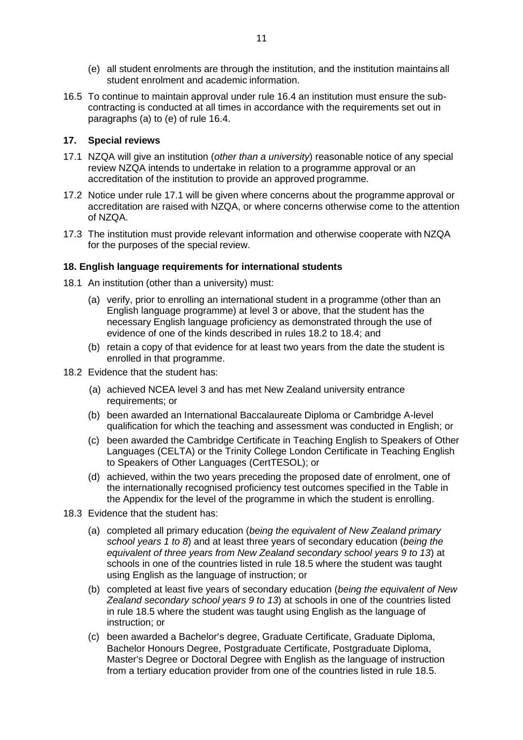- (e) all student enrolments are through the institution, and the institution maintains all student enrolment and academic information.
- 16.5 To continue to maintain approval under rule 16.4 an institution must ensure the subcontracting is conducted at all times in accordance with the requirements set out in paragraphs (a) to (e) of rule 16.4.

#### **17. Special reviews**

- 17.1 NZQA will give an institution (*other than a university*) reasonable notice of any special review NZQA intends to undertake in relation to a programme approval or an accreditation of the institution to provide an approved programme.
- 17.2 Notice under rule 17.1 will be given where concerns about the programme approval or accreditation are raised with NZQA, or where concerns otherwise come to the attention of NZQA.
- 17.3 The institution must provide relevant information and otherwise cooperate with NZQA for the purposes of the special review.

#### **18. English language requirements for international students**

- 18.1 An institution (other than a university) must:
	- (a) verify, prior to enrolling an international student in a programme (other than an English language programme) at level 3 or above, that the student has the necessary English language proficiency as demonstrated through the use of evidence of one of the kinds described in rules 18.2 to 18.4; and
	- (b) retain a copy of that evidence for at least two years from the date the student is enrolled in that programme.
- 18.2 Evidence that the student has:
	- (a) achieved NCEA level 3 and has met New Zealand university entrance requirements; or
	- (b) been awarded an International Baccalaureate Diploma or Cambridge A-level qualification for which the teaching and assessment was conducted in English; or
	- (c) been awarded the Cambridge Certificate in Teaching English to Speakers of Other Languages (CELTA) or the Trinity College London Certificate in Teaching English to Speakers of Other Languages (CertTESOL); or
	- (d) achieved, within the two years preceding the proposed date of enrolment, one of the internationally recognised proficiency test outcomes specified in the Table in the Appendix for the level of the programme in which the student is enrolling.
- 18.3 Evidence that the student has:
	- (a) completed all primary education (*being the equivalent of New Zealand primary school years 1 to 8*) and at least three years of secondary education (*being the equivalent of three years from New Zealand secondary school years 9 to 13*) at schools in one of the countries listed in rule 18.5 where the student was taught using English as the language of instruction; or
	- (b) completed at least five years of secondary education (*being the equivalent of New Zealand secondary school years 9 to 13*) at schools in one of the countries listed in rule 18.5 where the student was taught using English as the language of instruction; or
	- (c) been awarded a Bachelor's degree, Graduate Certificate, Graduate Diploma, Bachelor Honours Degree, Postgraduate Certificate, Postgraduate Diploma, Master's Degree or Doctoral Degree with English as the language of instruction from a tertiary education provider from one of the countries listed in rule 18.5.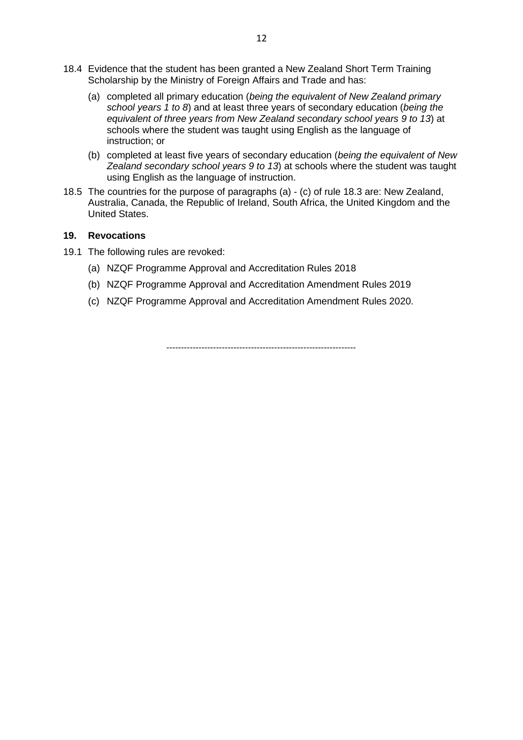- 18.4 Evidence that the student has been granted a New Zealand Short Term Training Scholarship by the Ministry of Foreign Affairs and Trade and has:
	- (a) completed all primary education (*being the equivalent of New Zealand primary school years 1 to 8*) and at least three years of secondary education (*being the equivalent of three years from New Zealand secondary school years 9 to 13*) at schools where the student was taught using English as the language of instruction; or
	- (b) completed at least five years of secondary education (*being the equivalent of New Zealand secondary school years 9 to 13*) at schools where the student was taught using English as the language of instruction.
- 18.5 The countries for the purpose of paragraphs (a) (c) of rule 18.3 are: New Zealand, Australia, Canada, the Republic of Ireland, South Africa, the United Kingdom and the United States.

#### **19. Revocations**

- 19.1 The following rules are revoked:
	- (a) NZQF Programme Approval and Accreditation Rules 2018
	- (b) NZQF Programme Approval and Accreditation Amendment Rules 2019
	- (c) NZQF Programme Approval and Accreditation Amendment Rules 2020.

-----------------------------------------------------------------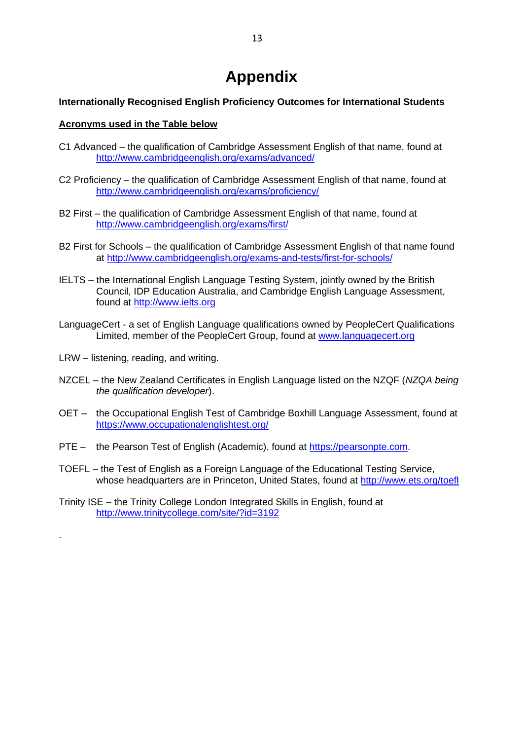## **Appendix**

#### **Internationally Recognised English Proficiency Outcomes for International Students**

#### **Acronyms used in the Table below**

- C1 Advanced the qualification of Cambridge Assessment English of that name, found at <http://www.cambridgeenglish.org/exams/advanced/>
- C2 Proficiency the qualification of Cambridge Assessment English of that name, found at <http://www.cambridgeenglish.org/exams/proficiency/>
- B2 First the qualification of Cambridge Assessment English of that name, found at <http://www.cambridgeenglish.org/exams/first/>
- B2 First for Schools the qualification of Cambridge Assessment English of that name found at<http://www.cambridgeenglish.org/exams-and-tests/first-for-schools/>
- IELTS the International English Language Testing System, jointly owned by the British Council, IDP Education Australia, and Cambridge English Language Assessment, found at [http://www.ielts.org](http://www.ielts.org/)
- LanguageCert a set of English Language qualifications owned by PeopleCert Qualifications Limited, member of the PeopleCert Group, found at [www.languagecert.org](http://www.languagecert.org/)
- LRW listening, reading, and writing.

.

- NZCEL the New Zealand Certificates in English Language listed on the NZQF (*NZQA being the qualification developer*).
- OET the Occupational English Test of Cambridge Boxhill Language Assessment, found at <https://www.occupationalenglishtest.org/>
- PTE the Pearson Test of English (Academic), found at https://pearsonpte.com.
- TOEFL the Test of English as a Foreign Language of the Educational Testing Service, whose headquarters are in Princeton, United States, found at<http://www.ets.org/toefl>
- Trinity ISE the Trinity College London Integrated Skills in English, found at <http://www.trinitycollege.com/site/?id=3192>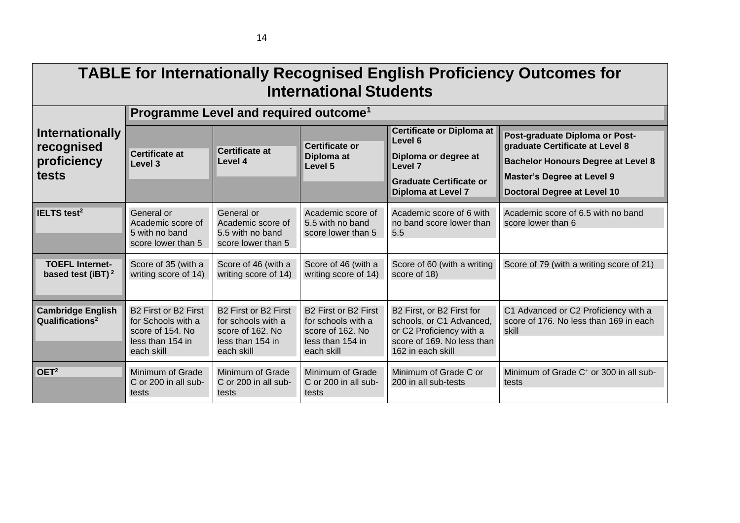| <b>TABLE for Internationally Recognised English Proficiency Outcomes for</b><br><b>International Students</b> |                                                                                                                          |                                                                                                  |                                                                                                  |                                                                                                                                      |                                                                                         |  |  |  |
|---------------------------------------------------------------------------------------------------------------|--------------------------------------------------------------------------------------------------------------------------|--------------------------------------------------------------------------------------------------|--------------------------------------------------------------------------------------------------|--------------------------------------------------------------------------------------------------------------------------------------|-----------------------------------------------------------------------------------------|--|--|--|
|                                                                                                               | Programme Level and required outcome <sup>1</sup>                                                                        |                                                                                                  |                                                                                                  |                                                                                                                                      |                                                                                         |  |  |  |
| <b>Internationally</b><br>recognised<br>proficiency<br>tests                                                  |                                                                                                                          |                                                                                                  | <b>Certificate or</b><br>Diploma at<br>Level 5                                                   | Certificate or Diploma at<br>Level 6                                                                                                 | Post-graduate Diploma or Post-<br>graduate Certificate at Level 8                       |  |  |  |
|                                                                                                               | <b>Certificate at</b><br>Level 3                                                                                         | <b>Certificate at</b><br>Level 4                                                                 |                                                                                                  | Diploma or degree at<br>Level 7                                                                                                      | <b>Bachelor Honours Degree at Level 8</b>                                               |  |  |  |
|                                                                                                               |                                                                                                                          |                                                                                                  |                                                                                                  | <b>Graduate Certificate or</b>                                                                                                       | <b>Master's Degree at Level 9</b>                                                       |  |  |  |
|                                                                                                               |                                                                                                                          |                                                                                                  |                                                                                                  | <b>Diploma at Level 7</b>                                                                                                            | <b>Doctoral Degree at Level 10</b>                                                      |  |  |  |
| IELTS test <sup>2</sup>                                                                                       | General or<br>Academic score of<br>5 with no band<br>score lower than 5                                                  | General or<br>Academic score of<br>5.5 with no band<br>score lower than 5                        | Academic score of<br>5.5 with no band<br>score lower than 5                                      | Academic score of 6 with<br>no band score lower than<br>5.5                                                                          | Academic score of 6.5 with no band<br>score lower than 6                                |  |  |  |
| <b>TOEFL Internet-</b><br>based test (iBT) <sup>2</sup>                                                       | Score of 35 (with a<br>writing score of 14)                                                                              | Score of 46 (with a<br>writing score of 14)                                                      | Score of 46 (with a<br>writing score of 14)                                                      | Score of 60 (with a writing<br>score of 18)                                                                                          | Score of 79 (with a writing score of 21)                                                |  |  |  |
| <b>Cambridge English</b><br>Qualifications <sup>2</sup>                                                       | B <sub>2</sub> First or B <sub>2</sub> First<br>for Schools with a<br>score of 154. No<br>less than 154 in<br>each skill | B2 First or B2 First<br>for schools with a<br>score of 162. No<br>less than 154 in<br>each skill | B2 First or B2 First<br>for schools with a<br>score of 162. No<br>less than 154 in<br>each skill | B2 First, or B2 First for<br>schools, or C1 Advanced,<br>or C2 Proficiency with a<br>score of 169. No less than<br>162 in each skill | C1 Advanced or C2 Proficiency with a<br>score of 176. No less than 169 in each<br>skill |  |  |  |
| OET <sup>2</sup>                                                                                              | Minimum of Grade<br>C or 200 in all sub-<br>tests                                                                        | Minimum of Grade<br>C or 200 in all sub-<br>tests                                                | Minimum of Grade<br>C or 200 in all sub-<br>tests                                                | Minimum of Grade C or<br>200 in all sub-tests                                                                                        | Minimum of Grade C <sup>+</sup> or 300 in all sub-<br>tests                             |  |  |  |